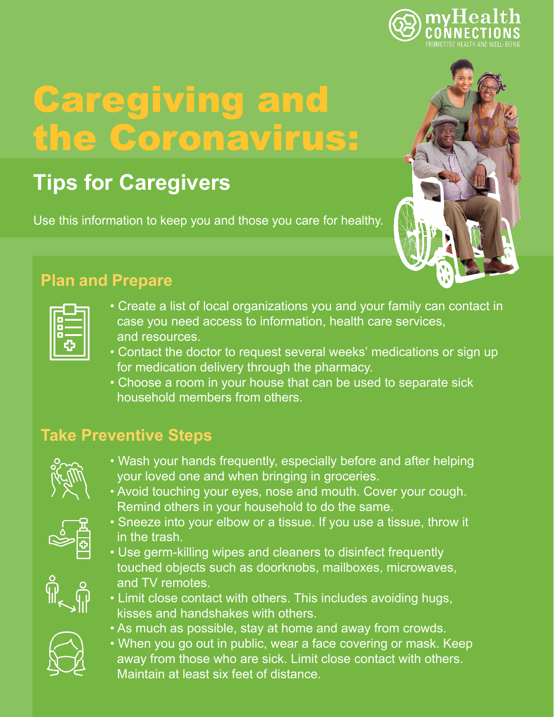

# Caregiving and the Coronavirus:

# **Tips for Caregivers**

Use this information to keep you and those you care for healthy.



- Create a list of local organizations you and your family can contact in case you need access to information, health care services, and resources.
- Contact the doctor to request several weeks' medications or sign up for medication delivery through the pharmacy.
- Choose a room in your house that can be used to separate sick household members from others.

## **Take Preventive Steps**



- Wash your hands frequently, especially before and after helping your loved one and when bringing in groceries.
- Avoid touching your eyes, nose and mouth. Cover your cough. Remind others in your household to do the same.



- Sneeze into your elbow or a tissue. If you use a tissue, throw it in the trash.
- Use germ-killing wipes and cleaners to disinfect frequently touched objects such as doorknobs, mailboxes, microwaves, and TV remotes.
- Limit close contact with others. This includes avoiding hugs, kisses and handshakes with others.
- As much as possible, stay at home and away from crowds.
- When you go out in public, wear a face covering or mask. Keep away from those who are sick. Limit close contact with others. Maintain at least six feet of distance.